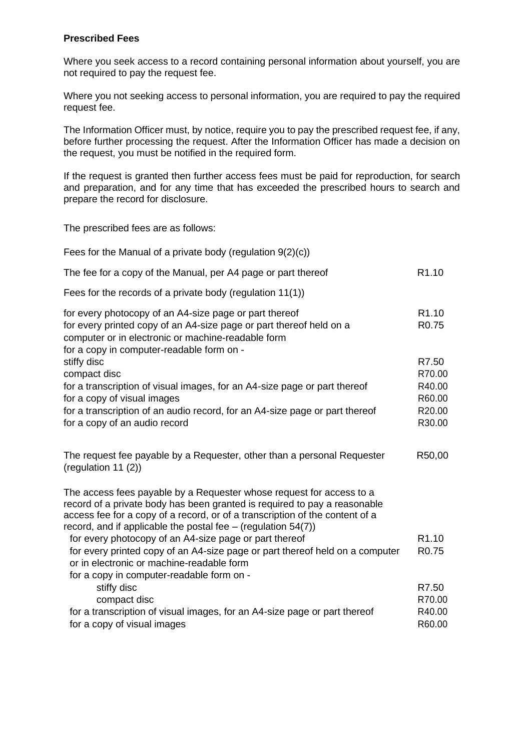## **Prescribed Fees**

Where you seek access to a record containing personal information about yourself, you are not required to pay the request fee.

Where you not seeking access to personal information, you are required to pay the required request fee.

The Information Officer must, by notice, require you to pay the prescribed request fee, if any, before further processing the request. After the Information Officer has made a decision on the request, you must be notified in the required form.

If the request is granted then further access fees must be paid for reproduction, for search and preparation, and for any time that has exceeded the prescribed hours to search and prepare the record for disclosure.

The prescribed fees are as follows:

| Fees for the Manual of a private body (regulation $9(2)(c)$ )                                                                                                                                                                                                                                        |                                        |
|------------------------------------------------------------------------------------------------------------------------------------------------------------------------------------------------------------------------------------------------------------------------------------------------------|----------------------------------------|
| The fee for a copy of the Manual, per A4 page or part thereof                                                                                                                                                                                                                                        | R <sub>1.10</sub>                      |
| Fees for the records of a private body (regulation 11(1))                                                                                                                                                                                                                                            |                                        |
| for every photocopy of an A4-size page or part thereof<br>for every printed copy of an A4-size page or part thereof held on a<br>computer or in electronic or machine-readable form<br>for a copy in computer-readable form on -                                                                     | R <sub>1.10</sub><br>R <sub>0.75</sub> |
| stiffy disc<br>compact disc                                                                                                                                                                                                                                                                          | R7.50<br>R70.00                        |
| for a transcription of visual images, for an A4-size page or part thereof<br>for a copy of visual images                                                                                                                                                                                             | R40.00<br>R60.00                       |
| for a transcription of an audio record, for an A4-size page or part thereof<br>for a copy of an audio record                                                                                                                                                                                         | R20.00<br>R30.00                       |
| The request fee payable by a Requester, other than a personal Requester<br>(regulation 11 $(2)$ )                                                                                                                                                                                                    | R50,00                                 |
| The access fees payable by a Requester whose request for access to a<br>record of a private body has been granted is required to pay a reasonable<br>access fee for a copy of a record, or of a transcription of the content of a<br>record, and if applicable the postal fee $-$ (regulation 54(7)) |                                        |
| for every photocopy of an A4-size page or part thereof<br>for every printed copy of an A4-size page or part thereof held on a computer<br>or in electronic or machine-readable form                                                                                                                  | R <sub>1.10</sub><br>R <sub>0.75</sub> |
| for a copy in computer-readable form on -<br>stiffy disc<br>compact disc                                                                                                                                                                                                                             | R7.50<br>R70.00                        |
| for a transcription of visual images, for an A4-size page or part thereof<br>for a copy of visual images                                                                                                                                                                                             | R40.00<br>R60.00                       |